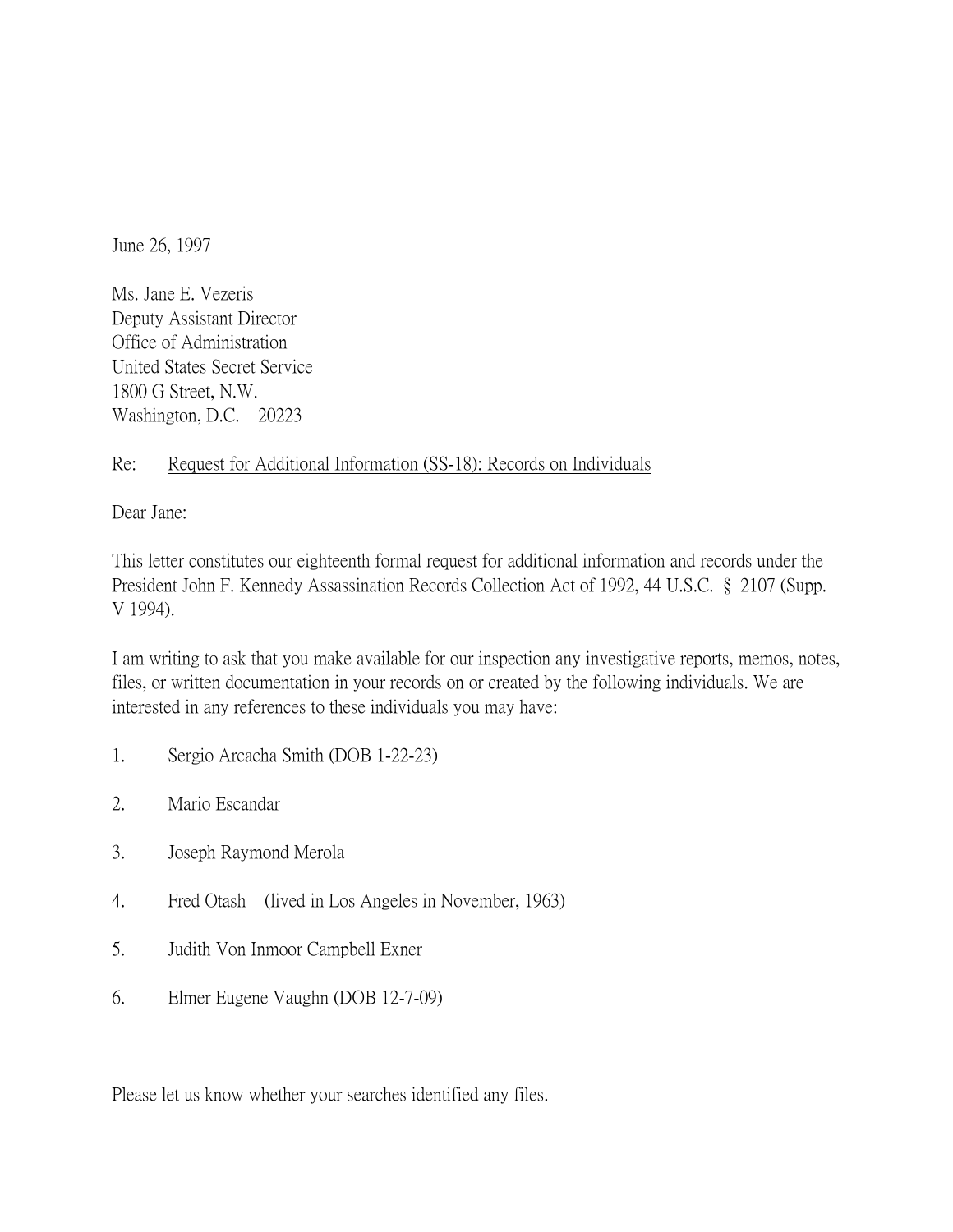June 26, 1997

Ms. Jane E. Vezeris Deputy Assistant Director Office of Administration United States Secret Service 1800 G Street, N.W. Washington, D.C. 20223

## Re: Request for Additional Information (SS-18): Records on Individuals

Dear Jane:

This letter constitutes our eighteenth formal request for additional information and records under the President John F. Kennedy Assassination Records Collection Act of 1992, 44 U.S.C. § 2107 (Supp. V 1994).

I am writing to ask that you make available for our inspection any investigative reports, memos, notes, files, or written documentation in your records on or created by the following individuals. We are interested in any references to these individuals you may have:

- 1. Sergio Arcacha Smith (DOB 1-22-23)
- 2. Mario Escandar
- 3. Joseph Raymond Merola
- 4. Fred Otash (lived in Los Angeles in November, 1963)
- 5. Judith Von Inmoor Campbell Exner
- 6. Elmer Eugene Vaughn (DOB 12-7-09)

Please let us know whether your searches identified any files.